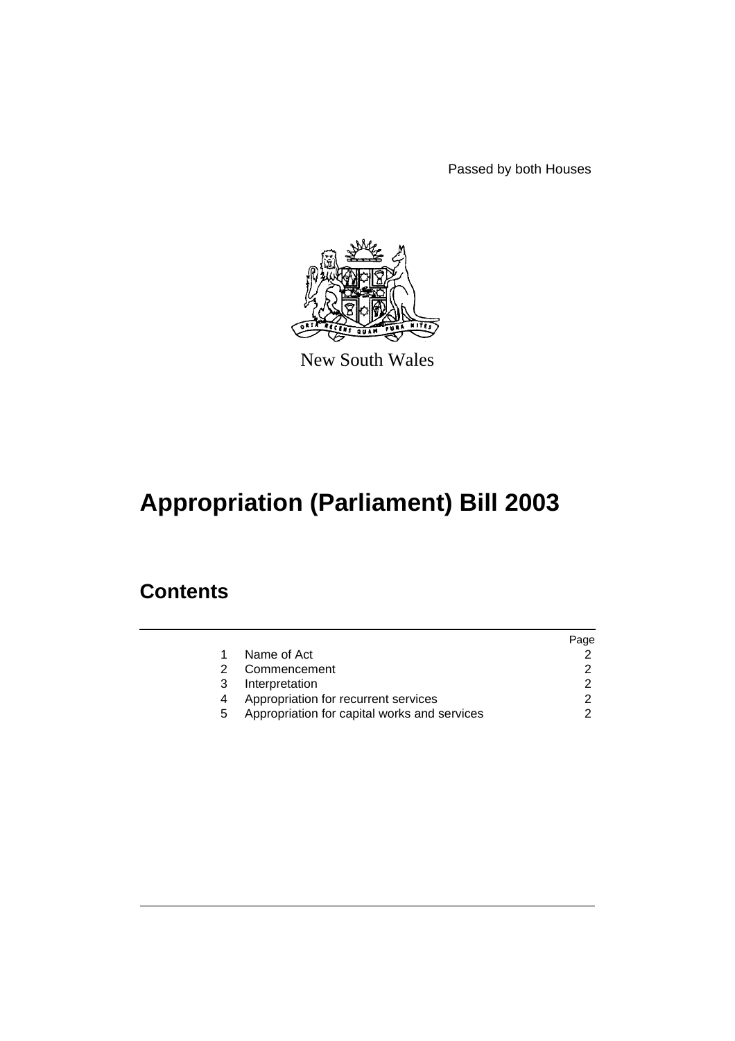Passed by both Houses



New South Wales

# **Appropriation (Parliament) Bill 2003**

### **Contents**

|   |                                              | Page |
|---|----------------------------------------------|------|
|   | Name of Act                                  |      |
|   | Commencement                                 |      |
| 3 | Interpretation                               |      |
|   | Appropriation for recurrent services         |      |
| 5 | Appropriation for capital works and services |      |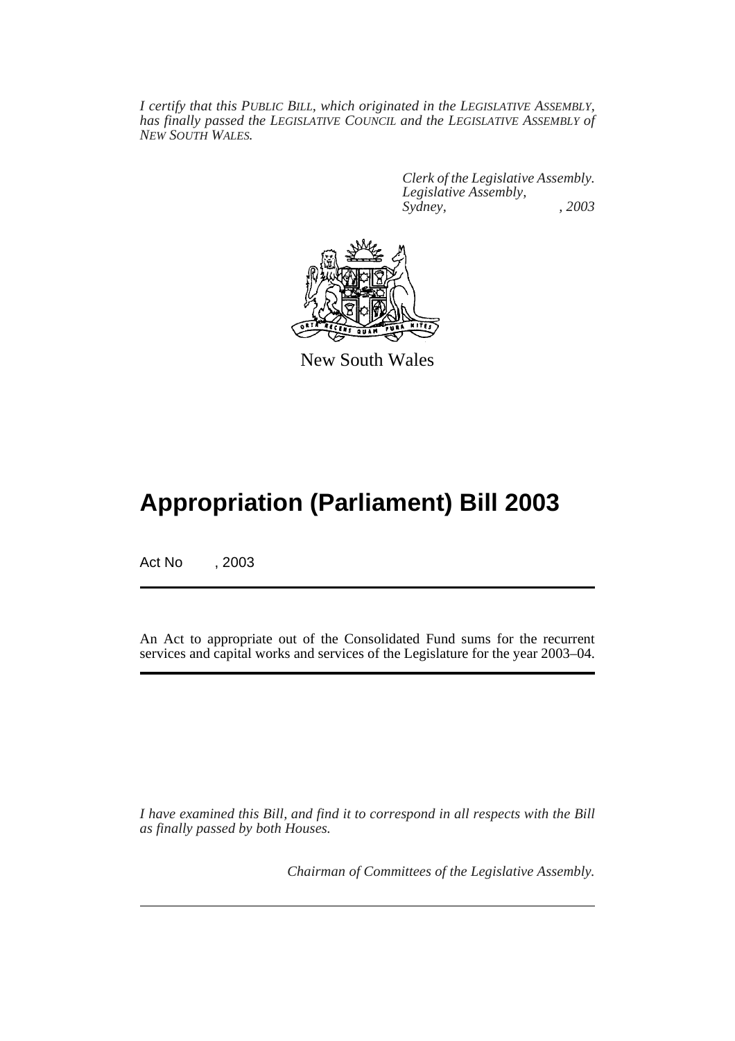*I certify that this PUBLIC BILL, which originated in the LEGISLATIVE ASSEMBLY, has finally passed the LEGISLATIVE COUNCIL and the LEGISLATIVE ASSEMBLY of NEW SOUTH WALES.*

> *Clerk of the Legislative Assembly. Legislative Assembly, Sydney, , 2003*



New South Wales

## **Appropriation (Parliament) Bill 2003**

Act No , 2003

An Act to appropriate out of the Consolidated Fund sums for the recurrent services and capital works and services of the Legislature for the year 2003–04.

*I have examined this Bill, and find it to correspond in all respects with the Bill as finally passed by both Houses.*

*Chairman of Committees of the Legislative Assembly.*